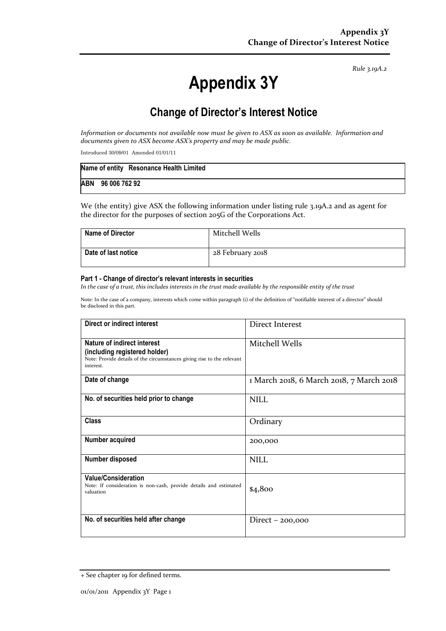Rule 3.19A.2

# Appendix 3Y

# Change of Director's Interest Notice

Information or documents not available now must be given to ASX as soon as available. Information and documents given to ASX become ASX's property and may be made public.

Introduced 30/09/01 Amended 01/01/11

|                   | Name of entity Resonance Health Limited |
|-------------------|-----------------------------------------|
| ABN 96 006 762 92 |                                         |

We (the entity) give ASX the following information under listing rule 3.19A.2 and as agent for the director for the purposes of section 205G of the Corporations Act.

| <b>Name of Director</b> | Mitchell Wells   |
|-------------------------|------------------|
| Date of last notice     | 28 February 2018 |

#### Part 1 - Change of director's relevant interests in securities

In the case of a trust, this includes interests in the trust made available by the responsible entity of the trust

Note: In the case of a company, interests which come within paragraph (i) of the definition of "notifiable interest of a director" should be disclosed in this part.

| Direct or indirect interest                                                                                                                         | Direct Interest                          |
|-----------------------------------------------------------------------------------------------------------------------------------------------------|------------------------------------------|
| Nature of indirect interest<br>(including registered holder)<br>Note: Provide details of the circumstances giving rise to the relevant<br>interest. | Mitchell Wells                           |
| Date of change                                                                                                                                      | 1 March 2018, 6 March 2018, 7 March 2018 |
| No. of securities held prior to change                                                                                                              | <b>NILL</b>                              |
| <b>Class</b>                                                                                                                                        | Ordinary                                 |
| Number acquired                                                                                                                                     | 200,000                                  |
| Number disposed                                                                                                                                     | <b>NILL</b>                              |
| <b>Value/Consideration</b><br>Note: If consideration is non-cash, provide details and estimated<br>valuation                                        | \$4,800                                  |
| No. of securities held after change                                                                                                                 | Direct $-200,000$                        |

<sup>+</sup> See chapter 19 for defined terms.